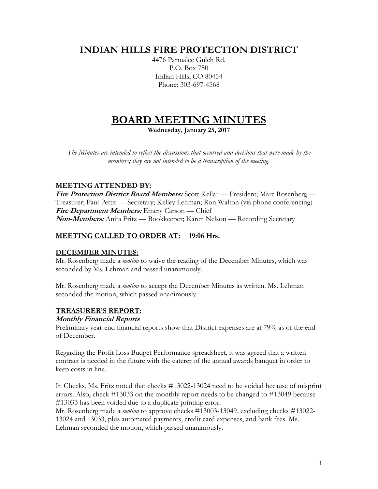# **INDIAN HILLS FIRE PROTECTION DISTRICT**

4476 Parmalee Gulch Rd. P.O. Box 750 Indian Hills, CO 80454 Phone: 303-697-4568

# **BOARD MEETING MINUTES**

**Wednesday, January 25, 2017**

*The Minutes are intended to reflect the discussions that occurred and decisions that were made by the members; they are not intended to be a transcription of the meeting.*

# **MEETING ATTENDED BY:**

**Fire Protection District Board Members:** Scott Kellar — President; Marc Rosenberg — Treasurer; Paul Pettit — Secretary; Kelley Lehman; Ron Walton (via phone conferencing) **Fire Department Members:** Emery Carson — Chief **Non-Members:** Anita Fritz — Bookkeeper; Karen Nelson — Recording Secretary

# **MEETING CALLED TO ORDER AT: 19:06 Hrs.**

# **DECEMBER MINUTES:**

Mr. Rosenberg made a *motion* to waive the reading of the December Minutes, which was seconded by Ms. Lehman and passed unanimously.

Mr. Rosenberg made a *motion* to accept the December Minutes as written. Ms. Lehman seconded the motion, which passed unanimously.

# **TREASURER'S REPORT:**

#### **Monthly Financial Reports**

Preliminary year-end financial reports show that District expenses are at 79% as of the end of December.

Regarding the Profit Loss Budget Performance spreadsheet, it was agreed that a written contract is needed in the future with the caterer of the annual awards banquet in order to keep costs in line.

In Checks, Ms. Fritz noted that checks #13022-13024 need to be voided because of misprint errors. Also, check #13033 on the monthly report needs to be changed to #13049 because #13033 has been voided due to a duplicate printing error.

Mr. Rosenberg made a *motion* to approve checks #13003-13049, excluding checks #13022- 13024 and 13033, plus automated payments, credit card expenses, and bank fees. Ms. Lehman seconded the motion, which passed unanimously.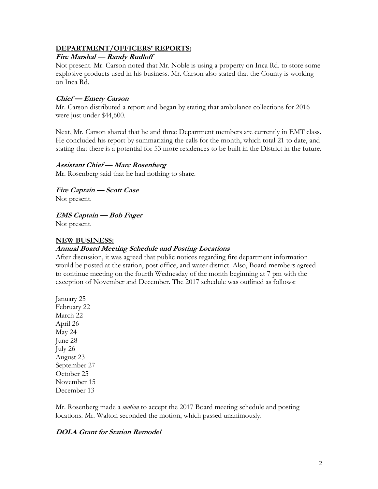#### **DEPARTMENT/OFFICERS' REPORTS:**

#### **Fire Marshal — Randy Rudloff**

Not present. Mr. Carson noted that Mr. Noble is using a property on Inca Rd. to store some explosive products used in his business. Mr. Carson also stated that the County is working on Inca Rd.

#### **Chief — Emery Carson**

Mr. Carson distributed a report and began by stating that ambulance collections for 2016 were just under \$44,600.

Next, Mr. Carson shared that he and three Department members are currently in EMT class. He concluded his report by summarizing the calls for the month, which total 21 to date, and stating that there is a potential for 53 more residences to be built in the District in the future.

#### **Assistant Chief — Marc Rosenberg**

Mr. Rosenberg said that he had nothing to share.

**Fire Captain — Scott Case** Not present.

**EMS Captain — Bob Fager**

Not present.

#### **NEW BUSINESS:**

#### **Annual Board Meeting Schedule and Posting Locations**

After discussion, it was agreed that public notices regarding fire department information would be posted at the station, post office, and water district. Also, Board members agreed to continue meeting on the fourth Wednesday of the month beginning at 7 pm with the exception of November and December. The 2017 schedule was outlined as follows:

January 25 February 22 March 22 April 26 May 24 June 28 July 26 August 23 September 27 October 25 November 15 December 13

Mr. Rosenberg made a *motion* to accept the 2017 Board meeting schedule and posting locations. Mr. Walton seconded the motion, which passed unanimously.

#### **DOLA Grant for Station Remodel**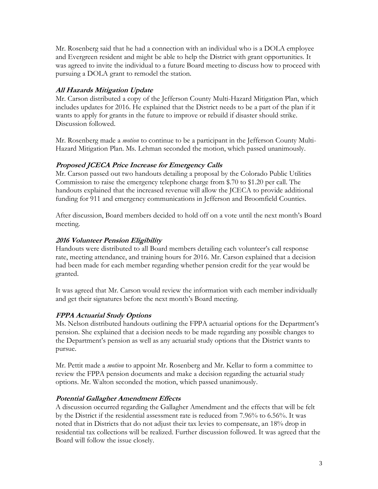Mr. Rosenberg said that he had a connection with an individual who is a DOLA employee and Evergreen resident and might be able to help the District with grant opportunities. It was agreed to invite the individual to a future Board meeting to discuss how to proceed with pursuing a DOLA grant to remodel the station.

# **All Hazards Mitigation Update**

Mr. Carson distributed a copy of the Jefferson County Multi-Hazard Mitigation Plan, which includes updates for 2016. He explained that the District needs to be a part of the plan if it wants to apply for grants in the future to improve or rebuild if disaster should strike. Discussion followed.

Mr. Rosenberg made a *motion* to continue to be a participant in the Jefferson County Multi-Hazard Mitigation Plan. Ms. Lehman seconded the motion, which passed unanimously.

# **Proposed JCECA Price Increase for Emergency Calls**

Mr. Carson passed out two handouts detailing a proposal by the Colorado Public Utilities Commission to raise the emergency telephone charge from \$.70 to \$1.20 per call. The handouts explained that the increased revenue will allow the JCECA to provide additional funding for 911 and emergency communications in Jefferson and Broomfield Counties.

After discussion, Board members decided to hold off on a vote until the next month's Board meeting.

# **2016 Volunteer Pension Eligibility**

Handouts were distributed to all Board members detailing each volunteer's call response rate, meeting attendance, and training hours for 2016. Mr. Carson explained that a decision had been made for each member regarding whether pension credit for the year would be granted.

It was agreed that Mr. Carson would review the information with each member individually and get their signatures before the next month's Board meeting.

# **FPPA Actuarial Study Options**

Ms. Nelson distributed handouts outlining the FPPA actuarial options for the Department's pension. She explained that a decision needs to be made regarding any possible changes to the Department's pension as well as any actuarial study options that the District wants to pursue.

Mr. Pettit made a *motion* to appoint Mr. Rosenberg and Mr. Kellar to form a committee to review the FPPA pension documents and make a decision regarding the actuarial study options. Mr. Walton seconded the motion, which passed unanimously.

# **Potential Gallagher Amendment Effects**

A discussion occurred regarding the Gallagher Amendment and the effects that will be felt by the District if the residential assessment rate is reduced from 7.96% to 6.56%. It was noted that in Districts that do not adjust their tax levies to compensate, an 18% drop in residential tax collections will be realized. Further discussion followed. It was agreed that the Board will follow the issue closely.